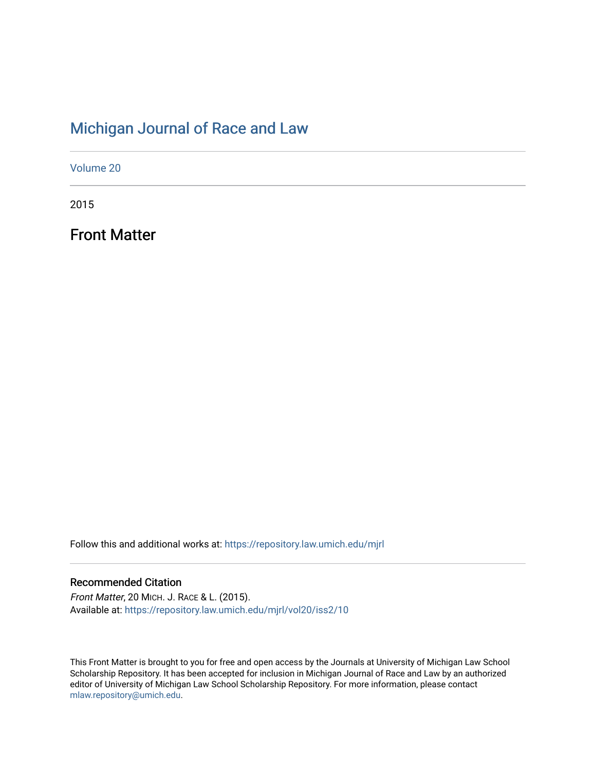## [Michigan Journal of Race and Law](https://repository.law.umich.edu/mjrl)

[Volume 20](https://repository.law.umich.edu/mjrl/vol20)

2015

Front Matter

Follow this and additional works at: [https://repository.law.umich.edu/mjrl](https://repository.law.umich.edu/mjrl?utm_source=repository.law.umich.edu%2Fmjrl%2Fvol20%2Fiss2%2F10&utm_medium=PDF&utm_campaign=PDFCoverPages) 

### Recommended Citation

Front Matter, 20 MICH. J. RACE & L. (2015). Available at: [https://repository.law.umich.edu/mjrl/vol20/iss2/10](https://repository.law.umich.edu/mjrl/vol20/iss2/10?utm_source=repository.law.umich.edu%2Fmjrl%2Fvol20%2Fiss2%2F10&utm_medium=PDF&utm_campaign=PDFCoverPages)

This Front Matter is brought to you for free and open access by the Journals at University of Michigan Law School Scholarship Repository. It has been accepted for inclusion in Michigan Journal of Race and Law by an authorized editor of University of Michigan Law School Scholarship Repository. For more information, please contact [mlaw.repository@umich.edu.](mailto:mlaw.repository@umich.edu)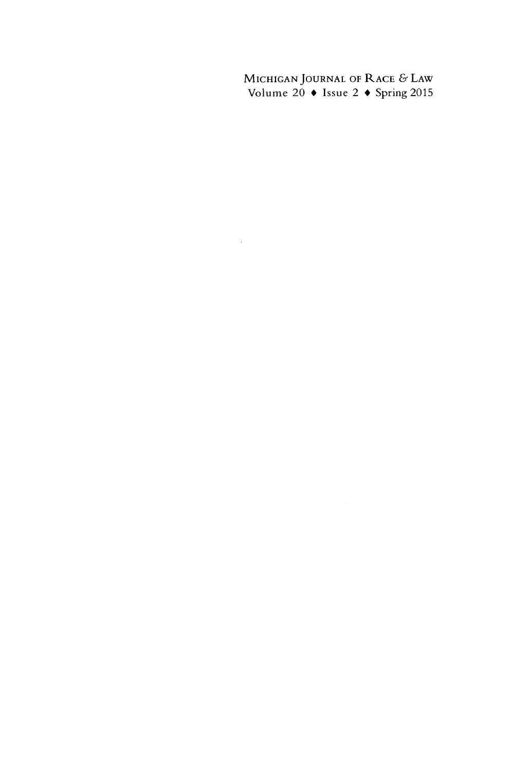**MICHIGAN JOURNAL** OF RACE **&** LAW Volume 20 **\*** Issue 2 **\*** Spring **2015**

 $\mathcal{L}_{\text{max}}$  and  $\mathcal{L}_{\text{max}}$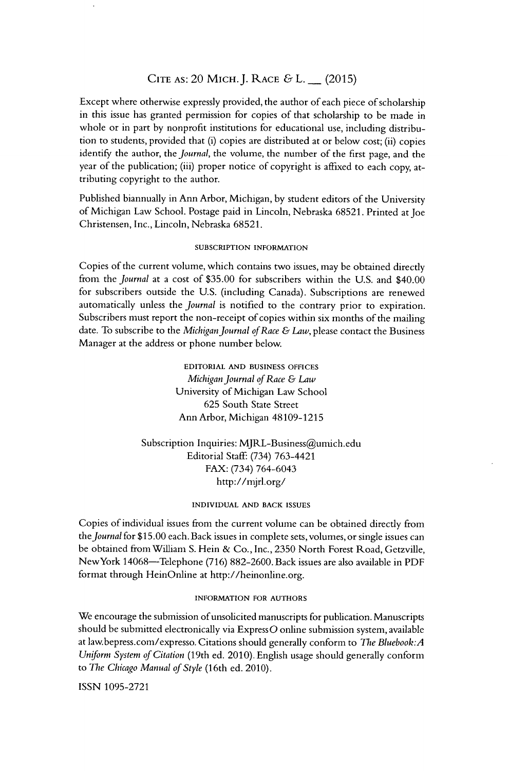#### **CITE AS:** 20 MICH.J. RACE & L. **-** (2015)

Except where otherwise expressly provided, the author of each piece of scholarship in this issue has granted permission for copies of that scholarship to be made in whole or in part by nonprofit institutions for educational use, including distribution to students, provided that (i) copies are distributed at or below cost; (ii) copies identify the author, the *Journal,* the volume, the number of the first page, and the year of the publication; (iii) proper notice of copyright is affixed to each copy, attributing copyright to the author.

Published biannually in Ann Arbor, Michigan, by student editors of the University of Michigan Law School. Postage paid in Lincoln, Nebraska 68521. Printed at Joe Christensen, Inc., Lincoln, Nebraska 68521.

#### **SUBSCRIPTION** INFORMATION

Copies of the current volume, which contains two issues, may be obtained directly from the *Journal* at a cost of \$35.00 for subscribers within the U.S. and \$40.00 for subscribers outside the U.S. (including Canada). Subscriptions are renewed automatically unless the *Journal* is notified to the contrary prior to expiration. Subscribers must report the non-receipt of copies within six months of the mailing date. To subscribe to the *Michigan Journal of Race & Law,* please contact the Business Manager at the address or phone number below.

> EDITORIAL **AND BUSINESS** OFFICES *Michigan Journal of Race & Law* University of Michigan Law School 625 South State Street Ann Arbor, Michigan 48109-1215

Subscription Inquiries: MJRL-Business@umich.edu Editorial Staff: (734) 763-4421 FAX: (734) 764-6043 http://mjrl.org/

#### **INDIVIDUAL AND** BACK **ISSUES**

Copies of individual issues from the current volume can be obtained directly from *the Journal* for \$15.00 each. Back issues in complete sets, volumes, or single issues can be obtained from William S. Hein & Co., Inc., 2350 North Forest Road, Getzville, NewYork 14068-Telephone (716) 882-2600. Back issues are also available in PDF format through HeinOnline at http://heinonline.org.

#### **INFORMATION** FOR **AUTHORS**

We encourage the submission of unsolicited manuscripts for publication. Manuscripts should be submitted electronically via ExpressO online submission system, available at law.bepress.com/expresso. Citations should generally conform to *The Bluebook:A Uniform System of Citation* (19th ed. 2010). English usage should generally conform to *The Chicago Manual of Style* (16th ed. 2010).

ISSN 1095-2721